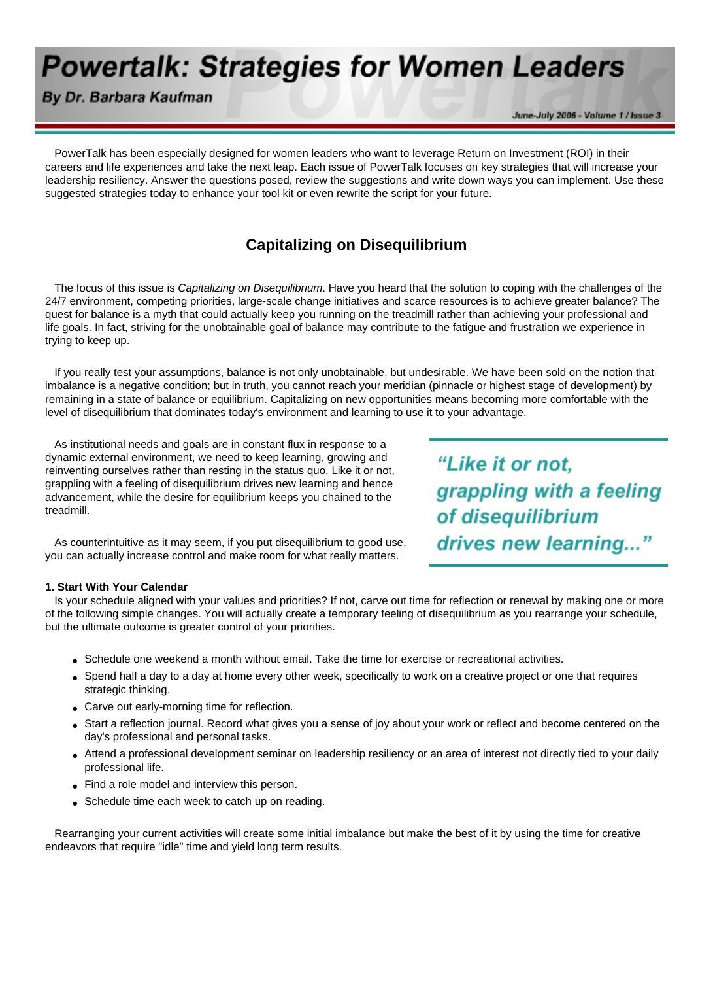# **Powertalk: Strategies for Women Leaders**

## By Dr. Barbara Kaufman

June-July 2006 - Volume 1 / Issue 3

 PowerTalk has been especially designed for women leaders who want to leverage Return on Investment (ROI) in their careers and life experiences and take the next leap. Each issue of PowerTalk focuses on key strategies that will increase your leadership resiliency. Answer the questions posed, review the suggestions and write down ways you can implement. Use these suggested strategies today to enhance your tool kit or even rewrite the script for your future.

## **Capitalizing on Disequilibrium**

 The focus of this issue is *Capitalizing on Disequilibrium*. Have you heard that the solution to coping with the challenges of the 24/7 environment, competing priorities, large-scale change initiatives and scarce resources is to achieve greater balance? The quest for balance is a myth that could actually keep you running on the treadmill rather than achieving your professional and life goals. In fact, striving for the unobtainable goal of balance may contribute to the fatigue and frustration we experience in trying to keep up.

 If you really test your assumptions, balance is not only unobtainable, but undesirable. We have been sold on the notion that imbalance is a negative condition; but in truth, you cannot reach your meridian (pinnacle or highest stage of development) by remaining in a state of balance or equilibrium. Capitalizing on new opportunities means becoming more comfortable with the level of disequilibrium that dominates today's environment and learning to use it to your advantage.

 As institutional needs and goals are in constant flux in response to a dynamic external environment, we need to keep learning, growing and reinventing ourselves rather than resting in the status quo. Like it or not, grappling with a feeling of disequilibrium drives new learning and hence advancement, while the desire for equilibrium keeps you chained to the treadmill.

"Like it or not, grappling with a feeling of disequilibrium drives new learning..."

 As counterintuitive as it may seem, if you put disequilibrium to good use, you can actually increase control and make room for what really matters.

### **1. Start With Your Calendar**

 Is your schedule aligned with your values and priorities? If not, carve out time for reflection or renewal by making one or more of the following simple changes. You will actually create a temporary feeling of disequilibrium as you rearrange your schedule, but the ultimate outcome is greater control of your priorities.

- Schedule one weekend a month without email. Take the time for exercise or recreational activities.
- Spend half a day to a day at home every other week, specifically to work on a creative project or one that requires strategic thinking.
- Carve out early-morning time for reflection.
- Start a reflection journal. Record what gives you a sense of joy about your work or reflect and become centered on the day's professional and personal tasks.
- Attend a professional development seminar on leadership resiliency or an area of interest not directly tied to your daily professional life.
- Find a role model and interview this person.
- Schedule time each week to catch up on reading.

 Rearranging your current activities will create some initial imbalance but make the best of it by using the time for creative endeavors that require "idle" time and yield long term results.